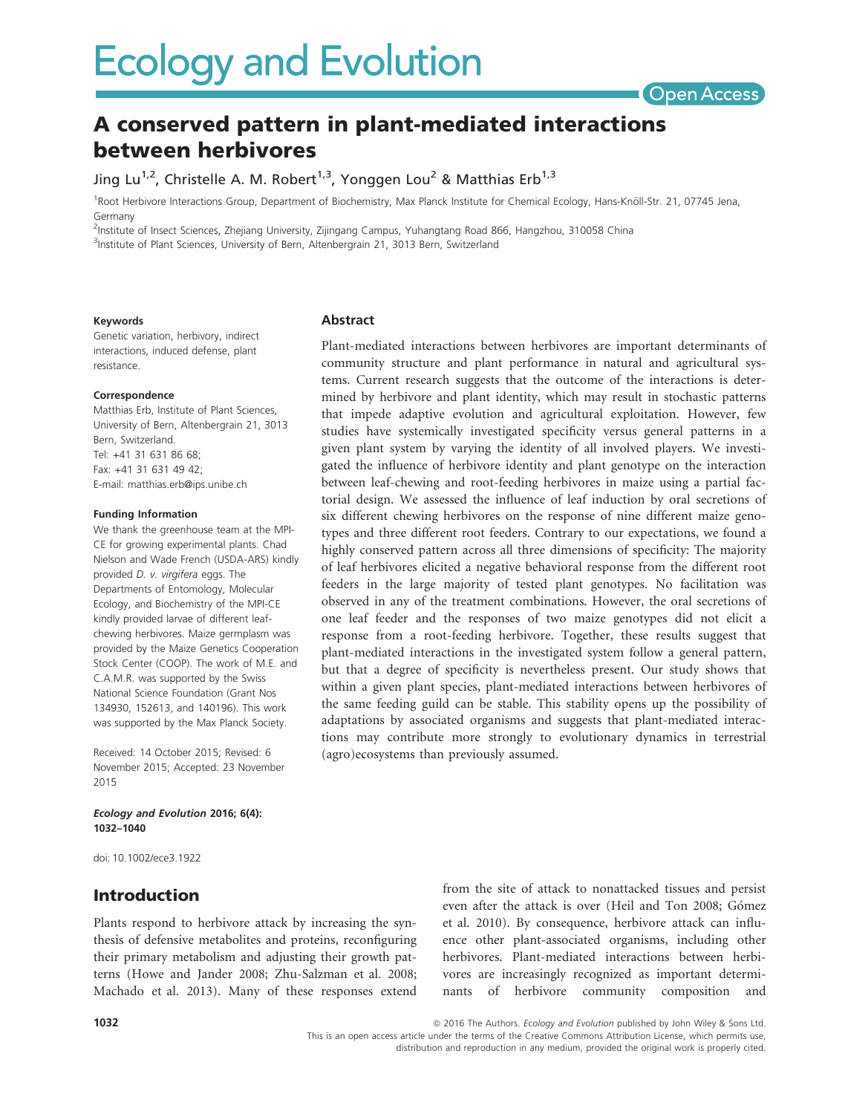

# A conserved pattern in plant-mediated interactions between herbivores

Jing Lu<sup>1,2</sup>, Christelle A. M. Robert<sup>1,3</sup>, Yonggen Lou<sup>2</sup> & Matthias Erb<sup>1,3</sup>

<sup>1</sup>Root Herbivore Interactions Group, Department of Biochemistry, Max Planck Institute for Chemical Ecology, Hans-Knöll-Str. 21, 07745 Jena, Germany

2 Institute of Insect Sciences, Zhejiang University, Zijingang Campus, Yuhangtang Road 866, Hangzhou, 310058 China <sup>3</sup>Institute of Plant Sciences, University of Bern, Altenbergrain 21, 3013 Bern, Switzerland

#### Keywords

Genetic variation, herbivory, indirect interactions, induced defense, plant resistance.

#### Correspondence

Matthias Erb, Institute of Plant Sciences, University of Bern, Altenbergrain 21, 3013 Bern, Switzerland. Tel: +41 31 631 86 68; Fax: +41 31 631 49 42; E-mail: matthias.erb@ips.unibe.ch

#### Funding Information

We thank the greenhouse team at the MPI-CE for growing experimental plants. Chad Nielson and Wade French (USDA-ARS) kindly provided D. v. virgifera eggs. The Departments of Entomology, Molecular Ecology, and Biochemistry of the MPI-CE kindly provided larvae of different leafchewing herbivores. Maize germplasm was provided by the Maize Genetics Cooperation Stock Center (COOP). The work of M.E. and C.A.M.R. was supported by the Swiss National Science Foundation (Grant Nos 134930, 152613, and 140196). This work was supported by the Max Planck Society.

Received: 14 October 2015; Revised: 6 November 2015; Accepted: 23 November 2015

#### Ecology and Evolution 2016; 6(4): 1032–1040

doi: 10.1002/ece3.1922

# Introduction

Plants respond to herbivore attack by increasing the synthesis of defensive metabolites and proteins, reconfiguring their primary metabolism and adjusting their growth patterns (Howe and Jander 2008; Zhu-Salzman et al. 2008; Machado et al. 2013). Many of these responses extend

from the site of attack to nonattacked tissues and persist even after the attack is over (Heil and Ton 2008; Gómez et al. 2010). By consequence, herbivore attack can influence other plant-associated organisms, including other herbivores. Plant-mediated interactions between herbivores are increasingly recognized as important determinants of herbivore community composition and

Abstract

Plant-mediated interactions between herbivores are important determinants of community structure and plant performance in natural and agricultural systems. Current research suggests that the outcome of the interactions is determined by herbivore and plant identity, which may result in stochastic patterns that impede adaptive evolution and agricultural exploitation. However, few studies have systemically investigated specificity versus general patterns in a given plant system by varying the identity of all involved players. We investigated the influence of herbivore identity and plant genotype on the interaction between leaf-chewing and root-feeding herbivores in maize using a partial factorial design. We assessed the influence of leaf induction by oral secretions of six different chewing herbivores on the response of nine different maize genotypes and three different root feeders. Contrary to our expectations, we found a highly conserved pattern across all three dimensions of specificity: The majority of leaf herbivores elicited a negative behavioral response from the different root feeders in the large majority of tested plant genotypes. No facilitation was observed in any of the treatment combinations. However, the oral secretions of one leaf feeder and the responses of two maize genotypes did not elicit a response from a root-feeding herbivore. Together, these results suggest that plant-mediated interactions in the investigated system follow a general pattern, but that a degree of specificity is nevertheless present. Our study shows that within a given plant species, plant-mediated interactions between herbivores of the same feeding guild can be stable. This stability opens up the possibility of adaptations by associated organisms and suggests that plant-mediated interactions may contribute more strongly to evolutionary dynamics in terrestrial (agro)ecosystems than previously assumed.

This is an open access article under the terms of the Creative Commons Attribution License, which permits use, distribution and reproduction in any medium, provided the original work is properly cited.

<sup>1032</sup> **1032 and Structure 2016** The Authors. Ecology and Evolution published by John Wiley & Sons Ltd.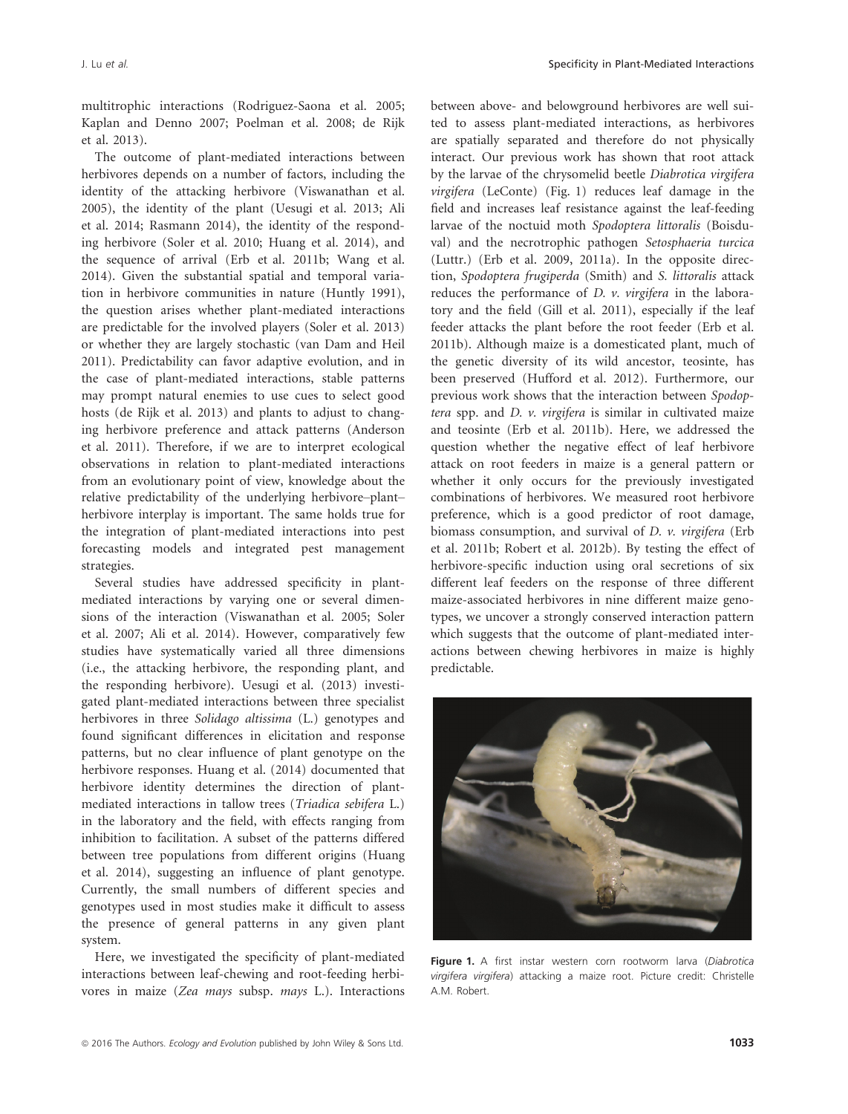multitrophic interactions (Rodriguez-Saona et al. 2005; Kaplan and Denno 2007; Poelman et al. 2008; de Rijk et al. 2013).

The outcome of plant-mediated interactions between herbivores depends on a number of factors, including the identity of the attacking herbivore (Viswanathan et al. 2005), the identity of the plant (Uesugi et al. 2013; Ali et al. 2014; Rasmann 2014), the identity of the responding herbivore (Soler et al. 2010; Huang et al. 2014), and the sequence of arrival (Erb et al. 2011b; Wang et al. 2014). Given the substantial spatial and temporal variation in herbivore communities in nature (Huntly 1991), the question arises whether plant-mediated interactions are predictable for the involved players (Soler et al. 2013) or whether they are largely stochastic (van Dam and Heil 2011). Predictability can favor adaptive evolution, and in the case of plant-mediated interactions, stable patterns may prompt natural enemies to use cues to select good hosts (de Rijk et al. 2013) and plants to adjust to changing herbivore preference and attack patterns (Anderson et al. 2011). Therefore, if we are to interpret ecological observations in relation to plant-mediated interactions from an evolutionary point of view, knowledge about the relative predictability of the underlying herbivore–plant– herbivore interplay is important. The same holds true for the integration of plant-mediated interactions into pest forecasting models and integrated pest management strategies.

Several studies have addressed specificity in plantmediated interactions by varying one or several dimensions of the interaction (Viswanathan et al. 2005; Soler et al. 2007; Ali et al. 2014). However, comparatively few studies have systematically varied all three dimensions (i.e., the attacking herbivore, the responding plant, and the responding herbivore). Uesugi et al. (2013) investigated plant-mediated interactions between three specialist herbivores in three Solidago altissima (L.) genotypes and found significant differences in elicitation and response patterns, but no clear influence of plant genotype on the herbivore responses. Huang et al. (2014) documented that herbivore identity determines the direction of plantmediated interactions in tallow trees (Triadica sebifera L.) in the laboratory and the field, with effects ranging from inhibition to facilitation. A subset of the patterns differed between tree populations from different origins (Huang et al. 2014), suggesting an influence of plant genotype. Currently, the small numbers of different species and genotypes used in most studies make it difficult to assess the presence of general patterns in any given plant system.

Here, we investigated the specificity of plant-mediated interactions between leaf-chewing and root-feeding herbivores in maize (Zea mays subsp. mays L.). Interactions between above- and belowground herbivores are well suited to assess plant-mediated interactions, as herbivores are spatially separated and therefore do not physically interact. Our previous work has shown that root attack by the larvae of the chrysomelid beetle Diabrotica virgifera virgifera (LeConte) (Fig. 1) reduces leaf damage in the field and increases leaf resistance against the leaf-feeding larvae of the noctuid moth Spodoptera littoralis (Boisduval) and the necrotrophic pathogen Setosphaeria turcica (Luttr.) (Erb et al. 2009, 2011a). In the opposite direction, Spodoptera frugiperda (Smith) and S. littoralis attack reduces the performance of D. v. virgifera in the laboratory and the field (Gill et al. 2011), especially if the leaf feeder attacks the plant before the root feeder (Erb et al. 2011b). Although maize is a domesticated plant, much of the genetic diversity of its wild ancestor, teosinte, has been preserved (Hufford et al. 2012). Furthermore, our previous work shows that the interaction between Spodoptera spp. and D. v. virgifera is similar in cultivated maize and teosinte (Erb et al. 2011b). Here, we addressed the question whether the negative effect of leaf herbivore attack on root feeders in maize is a general pattern or whether it only occurs for the previously investigated combinations of herbivores. We measured root herbivore preference, which is a good predictor of root damage, biomass consumption, and survival of D. v. virgifera (Erb et al. 2011b; Robert et al. 2012b). By testing the effect of herbivore-specific induction using oral secretions of six different leaf feeders on the response of three different maize-associated herbivores in nine different maize genotypes, we uncover a strongly conserved interaction pattern which suggests that the outcome of plant-mediated interactions between chewing herbivores in maize is highly predictable.



Figure 1. A first instar western corn rootworm larva (Diabrotica virgifera virgifera) attacking a maize root. Picture credit: Christelle A.M. Robert.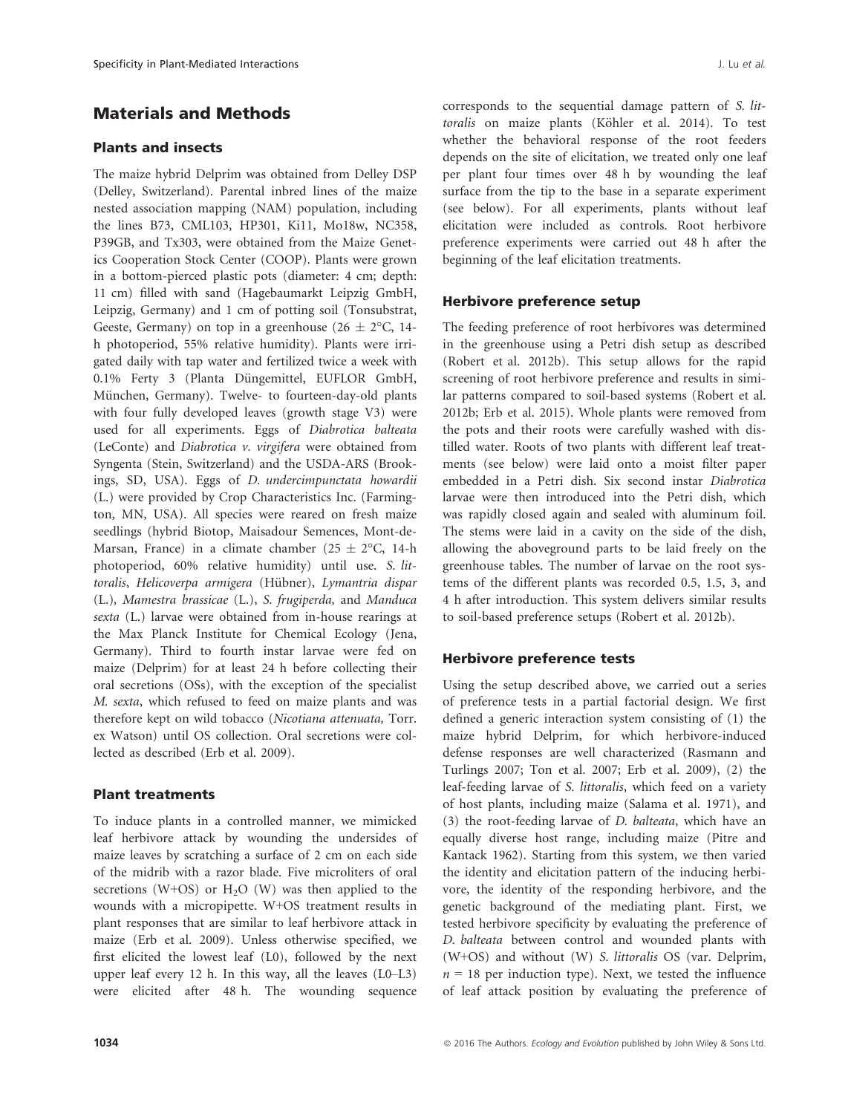# Materials and Methods

#### Plants and insects

The maize hybrid Delprim was obtained from Delley DSP (Delley, Switzerland). Parental inbred lines of the maize nested association mapping (NAM) population, including the lines B73, CML103, HP301, Ki11, Mo18w, NC358, P39GB, and Tx303, were obtained from the Maize Genetics Cooperation Stock Center (COOP). Plants were grown in a bottom-pierced plastic pots (diameter: 4 cm; depth: 11 cm) filled with sand (Hagebaumarkt Leipzig GmbH, Leipzig, Germany) and 1 cm of potting soil (Tonsubstrat, Geeste, Germany) on top in a greenhouse (26  $\pm$  2°C, 14h photoperiod, 55% relative humidity). Plants were irrigated daily with tap water and fertilized twice a week with 0.1% Ferty 3 (Planta Düngemittel, EUFLOR GmbH, München, Germany). Twelve- to fourteen-day-old plants with four fully developed leaves (growth stage V3) were used for all experiments. Eggs of Diabrotica balteata (LeConte) and Diabrotica v. virgifera were obtained from Syngenta (Stein, Switzerland) and the USDA-ARS (Brookings, SD, USA). Eggs of D. undercimpunctata howardii (L.) were provided by Crop Characteristics Inc. (Farmington, MN, USA). All species were reared on fresh maize seedlings (hybrid Biotop, Maisadour Semences, Mont-de-Marsan, France) in a climate chamber (25  $\pm$  2°C, 14-h photoperiod, 60% relative humidity) until use. S. littoralis, Helicoverpa armigera (Hübner), Lymantria dispar (L.), Mamestra brassicae (L.), S. frugiperda, and Manduca sexta (L.) larvae were obtained from in-house rearings at the Max Planck Institute for Chemical Ecology (Jena, Germany). Third to fourth instar larvae were fed on maize (Delprim) for at least 24 h before collecting their oral secretions (OSs), with the exception of the specialist M. sexta, which refused to feed on maize plants and was therefore kept on wild tobacco (Nicotiana attenuata, Torr. ex Watson) until OS collection. Oral secretions were collected as described (Erb et al. 2009).

## Plant treatments

To induce plants in a controlled manner, we mimicked leaf herbivore attack by wounding the undersides of maize leaves by scratching a surface of 2 cm on each side of the midrib with a razor blade. Five microliters of oral secretions (W+OS) or  $H<sub>2</sub>O$  (W) was then applied to the wounds with a micropipette. W+OS treatment results in plant responses that are similar to leaf herbivore attack in maize (Erb et al. 2009). Unless otherwise specified, we first elicited the lowest leaf (L0), followed by the next upper leaf every 12 h. In this way, all the leaves (L0–L3) were elicited after 48 h. The wounding sequence corresponds to the sequential damage pattern of S. littoralis on maize plants (Köhler et al. 2014). To test whether the behavioral response of the root feeders depends on the site of elicitation, we treated only one leaf per plant four times over 48 h by wounding the leaf surface from the tip to the base in a separate experiment (see below). For all experiments, plants without leaf elicitation were included as controls. Root herbivore preference experiments were carried out 48 h after the beginning of the leaf elicitation treatments.

## Herbivore preference setup

The feeding preference of root herbivores was determined in the greenhouse using a Petri dish setup as described (Robert et al. 2012b). This setup allows for the rapid screening of root herbivore preference and results in similar patterns compared to soil-based systems (Robert et al. 2012b; Erb et al. 2015). Whole plants were removed from the pots and their roots were carefully washed with distilled water. Roots of two plants with different leaf treatments (see below) were laid onto a moist filter paper embedded in a Petri dish. Six second instar Diabrotica larvae were then introduced into the Petri dish, which was rapidly closed again and sealed with aluminum foil. The stems were laid in a cavity on the side of the dish, allowing the aboveground parts to be laid freely on the greenhouse tables. The number of larvae on the root systems of the different plants was recorded 0.5, 1.5, 3, and 4 h after introduction. This system delivers similar results to soil-based preference setups (Robert et al. 2012b).

## Herbivore preference tests

Using the setup described above, we carried out a series of preference tests in a partial factorial design. We first defined a generic interaction system consisting of (1) the maize hybrid Delprim, for which herbivore-induced defense responses are well characterized (Rasmann and Turlings 2007; Ton et al. 2007; Erb et al. 2009), (2) the leaf-feeding larvae of S. littoralis, which feed on a variety of host plants, including maize (Salama et al. 1971), and (3) the root-feeding larvae of D. balteata, which have an equally diverse host range, including maize (Pitre and Kantack 1962). Starting from this system, we then varied the identity and elicitation pattern of the inducing herbivore, the identity of the responding herbivore, and the genetic background of the mediating plant. First, we tested herbivore specificity by evaluating the preference of D. balteata between control and wounded plants with (W+OS) and without (W) S. littoralis OS (var. Delprim,  $n = 18$  per induction type). Next, we tested the influence of leaf attack position by evaluating the preference of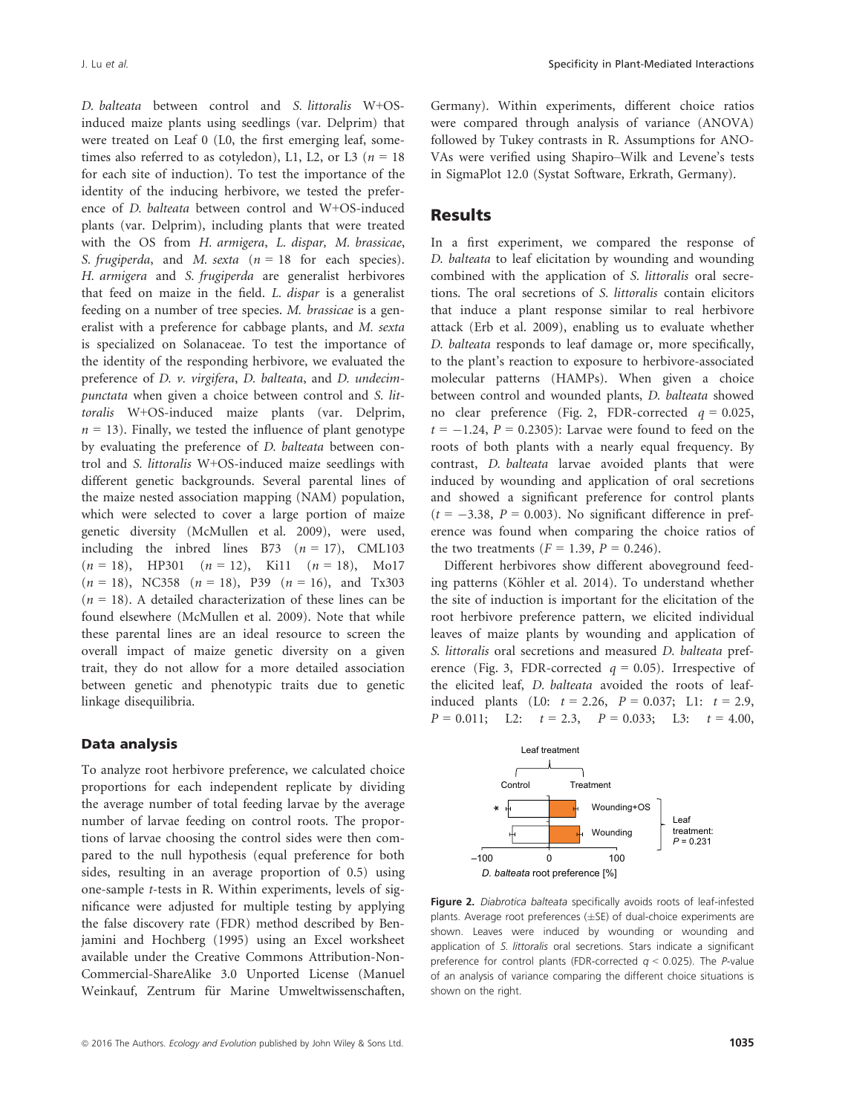D. balteata between control and S. littoralis W+OSinduced maize plants using seedlings (var. Delprim) that were treated on Leaf 0 (L0, the first emerging leaf, sometimes also referred to as cotyledon), L1, L2, or L3 ( $n = 18$ ) for each site of induction). To test the importance of the identity of the inducing herbivore, we tested the preference of D. balteata between control and W+OS-induced plants (var. Delprim), including plants that were treated with the OS from H. armigera, L. dispar, M. brassicae, S. frugiperda, and M. sexta ( $n = 18$  for each species). H. armigera and S. frugiperda are generalist herbivores that feed on maize in the field. L. dispar is a generalist feeding on a number of tree species. M. brassicae is a generalist with a preference for cabbage plants, and M. sexta is specialized on Solanaceae. To test the importance of the identity of the responding herbivore, we evaluated the preference of D. v. virgifera, D. balteata, and D. undecimpunctata when given a choice between control and S. littoralis W+OS-induced maize plants (var. Delprim,  $n = 13$ ). Finally, we tested the influence of plant genotype by evaluating the preference of D. balteata between control and S. littoralis W+OS-induced maize seedlings with different genetic backgrounds. Several parental lines of the maize nested association mapping (NAM) population, which were selected to cover a large portion of maize genetic diversity (McMullen et al. 2009), were used, including the inbred lines B73  $(n = 17)$ , CML103  $(n = 18)$ , HP301  $(n = 12)$ , Ki11  $(n = 18)$ , Mo17  $(n = 18)$ , NC358  $(n = 18)$ , P39  $(n = 16)$ , and Tx303  $(n = 18)$ . A detailed characterization of these lines can be found elsewhere (McMullen et al. 2009). Note that while these parental lines are an ideal resource to screen the overall impact of maize genetic diversity on a given trait, they do not allow for a more detailed association between genetic and phenotypic traits due to genetic linkage disequilibria.

#### Data analysis

To analyze root herbivore preference, we calculated choice proportions for each independent replicate by dividing the average number of total feeding larvae by the average number of larvae feeding on control roots. The proportions of larvae choosing the control sides were then compared to the null hypothesis (equal preference for both sides, resulting in an average proportion of 0.5) using one-sample t-tests in R. Within experiments, levels of significance were adjusted for multiple testing by applying the false discovery rate (FDR) method described by Benjamini and Hochberg (1995) using an Excel worksheet available under the Creative Commons Attribution-Non-Commercial-ShareAlike 3.0 Unported License (Manuel Weinkauf, Zentrum für Marine Umweltwissenschaften, Germany). Within experiments, different choice ratios were compared through analysis of variance (ANOVA) followed by Tukey contrasts in R. Assumptions for ANO-VAs were verified using Shapiro–Wilk and Levene's tests in SigmaPlot 12.0 (Systat Software, Erkrath, Germany).

## **Results**

In a first experiment, we compared the response of D. balteata to leaf elicitation by wounding and wounding combined with the application of S. littoralis oral secretions. The oral secretions of S. littoralis contain elicitors that induce a plant response similar to real herbivore attack (Erb et al. 2009), enabling us to evaluate whether D. balteata responds to leaf damage or, more specifically, to the plant's reaction to exposure to herbivore-associated molecular patterns (HAMPs). When given a choice between control and wounded plants, D. balteata showed no clear preference (Fig. 2, FDR-corrected  $q = 0.025$ ,  $t = -1.24$ ,  $P = 0.2305$ ): Larvae were found to feed on the roots of both plants with a nearly equal frequency. By contrast, D. balteata larvae avoided plants that were induced by wounding and application of oral secretions and showed a significant preference for control plants  $(t = -3.38, P = 0.003)$ . No significant difference in preference was found when comparing the choice ratios of the two treatments  $(F = 1.39, P = 0.246)$ .

Different herbivores show different aboveground feeding patterns (Köhler et al. 2014). To understand whether the site of induction is important for the elicitation of the root herbivore preference pattern, we elicited individual leaves of maize plants by wounding and application of S. littoralis oral secretions and measured D. balteata preference (Fig. 3, FDR-corrected  $q = 0.05$ ). Irrespective of the elicited leaf, D. balteata avoided the roots of leafinduced plants (L0:  $t = 2.26$ ,  $P = 0.037$ ; L1:  $t = 2.9$ ,  $P = 0.011$ ; L2:  $t = 2.3$ ,  $P = 0.033$ ; L3:  $t = 4.00$ ,



Figure 2. Diabrotica balteata specifically avoids roots of leaf-infested plants. Average root preferences  $(\pm S$ E) of dual-choice experiments are shown. Leaves were induced by wounding or wounding and application of S. littoralis oral secretions. Stars indicate a significant preference for control plants (FDR-corrected  $q < 0.025$ ). The P-value of an analysis of variance comparing the different choice situations is shown on the right.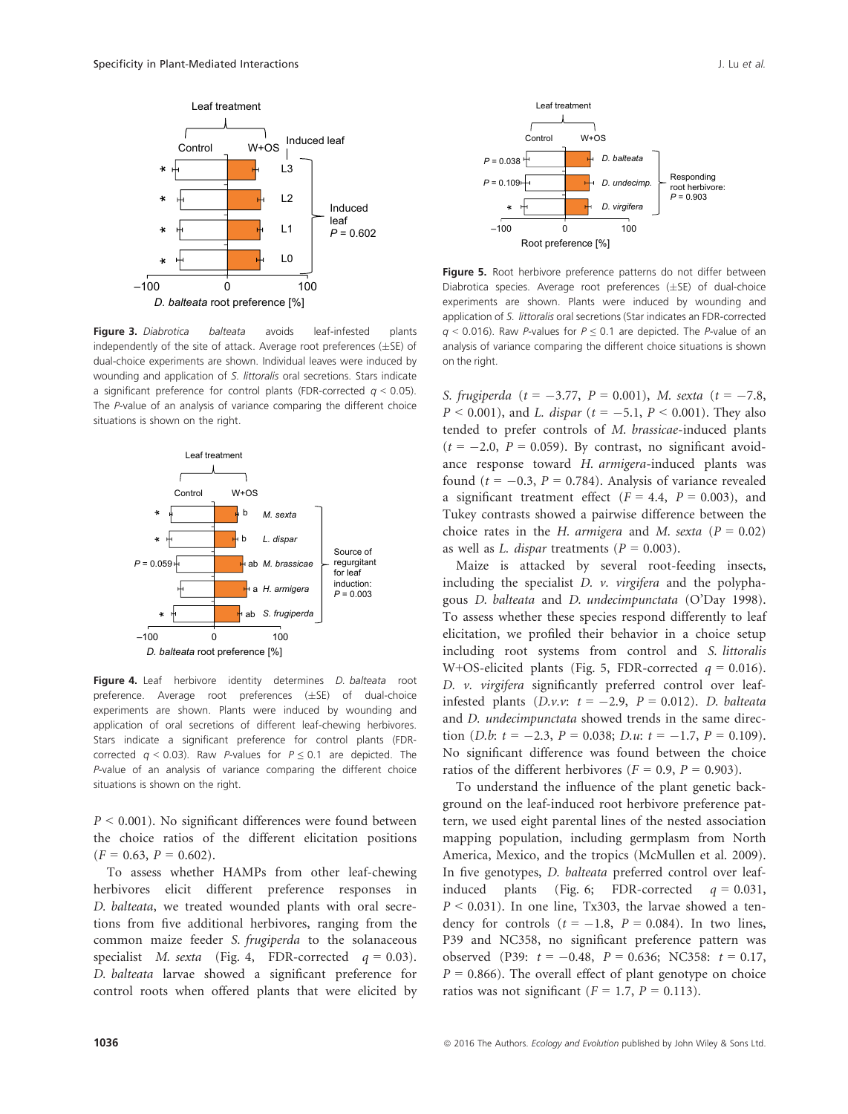

Figure 3. Diabrotica balteata avoids leaf-infested plants independently of the site of attack. Average root preferences  $(\pm S$ E) of dual-choice experiments are shown. Individual leaves were induced by wounding and application of S. littoralis oral secretions. Stars indicate a significant preference for control plants (FDR-corrected  $q < 0.05$ ). The P-value of an analysis of variance comparing the different choice situations is shown on the right.



Figure 4. Leaf herbivore identity determines *D. balteata* root preference. Average root preferences  $(\pm S E)$  of dual-choice experiments are shown. Plants were induced by wounding and application of oral secretions of different leaf-chewing herbivores. Stars indicate a significant preference for control plants (FDRcorrected  $q < 0.03$ ). Raw P-values for  $P \le 0.1$  are depicted. The P-value of an analysis of variance comparing the different choice situations is shown on the right.

 $P < 0.001$ ). No significant differences were found between the choice ratios of the different elicitation positions  $(F = 0.63, P = 0.602).$ 

To assess whether HAMPs from other leaf-chewing herbivores elicit different preference responses in D. balteata, we treated wounded plants with oral secretions from five additional herbivores, ranging from the common maize feeder S. frugiperda to the solanaceous specialist M. sexta (Fig. 4, FDR-corrected  $q = 0.03$ ). D. balteata larvae showed a significant preference for control roots when offered plants that were elicited by



Figure 5. Root herbivore preference patterns do not differ between Diabrotica species. Average root preferences  $(\pm S E)$  of dual-choice experiments are shown. Plants were induced by wounding and application of S. littoralis oral secretions (Star indicates an FDR-corrected  $q$  < 0.016). Raw P-values for  $P \le 0.1$  are depicted. The P-value of an analysis of variance comparing the different choice situations is shown on the right.

S. frugiperda (t = -3.77, P = 0.001), M. sexta (t = -7.8,  $P < 0.001$ ), and *L. dispar* ( $t = -5.1$ ,  $P < 0.001$ ). They also tended to prefer controls of M. brassicae-induced plants  $(t = -2.0, P = 0.059)$ . By contrast, no significant avoidance response toward H. armigera-induced plants was found ( $t = -0.3$ ,  $P = 0.784$ ). Analysis of variance revealed a significant treatment effect  $(F = 4.4, P = 0.003)$ , and Tukey contrasts showed a pairwise difference between the choice rates in the H. armigera and M. sexta ( $P = 0.02$ ) as well as L. dispar treatments ( $P = 0.003$ ).

Maize is attacked by several root-feeding insects, including the specialist  $D$ .  $\nu$ . virgifera and the polyphagous D. balteata and D. undecimpunctata (O'Day 1998). To assess whether these species respond differently to leaf elicitation, we profiled their behavior in a choice setup including root systems from control and S. littoralis W+OS-elicited plants (Fig. 5, FDR-corrected  $q = 0.016$ ). D. v. virgifera significantly preferred control over leafinfested plants  $(D.v.v: t = -2.9, P = 0.012)$ . D. balteata and D. undecimpunctata showed trends in the same direction (*D.b*:  $t = -2.3$ ,  $P = 0.038$ ; *D.u*:  $t = -1.7$ ,  $P = 0.109$ ). No significant difference was found between the choice ratios of the different herbivores ( $F = 0.9$ ,  $P = 0.903$ ).

To understand the influence of the plant genetic background on the leaf-induced root herbivore preference pattern, we used eight parental lines of the nested association mapping population, including germplasm from North America, Mexico, and the tropics (McMullen et al. 2009). In five genotypes, D. balteata preferred control over leafinduced plants (Fig. 6; FDR-corrected  $q = 0.031$ ,  $P < 0.031$ ). In one line, Tx303, the larvae showed a tendency for controls  $(t = -1.8, P = 0.084)$ . In two lines, P39 and NC358, no significant preference pattern was observed (P39:  $t = -0.48$ ,  $P = 0.636$ ; NC358:  $t = 0.17$ ,  $P = 0.866$ ). The overall effect of plant genotype on choice ratios was not significant ( $F = 1.7$ ,  $P = 0.113$ ).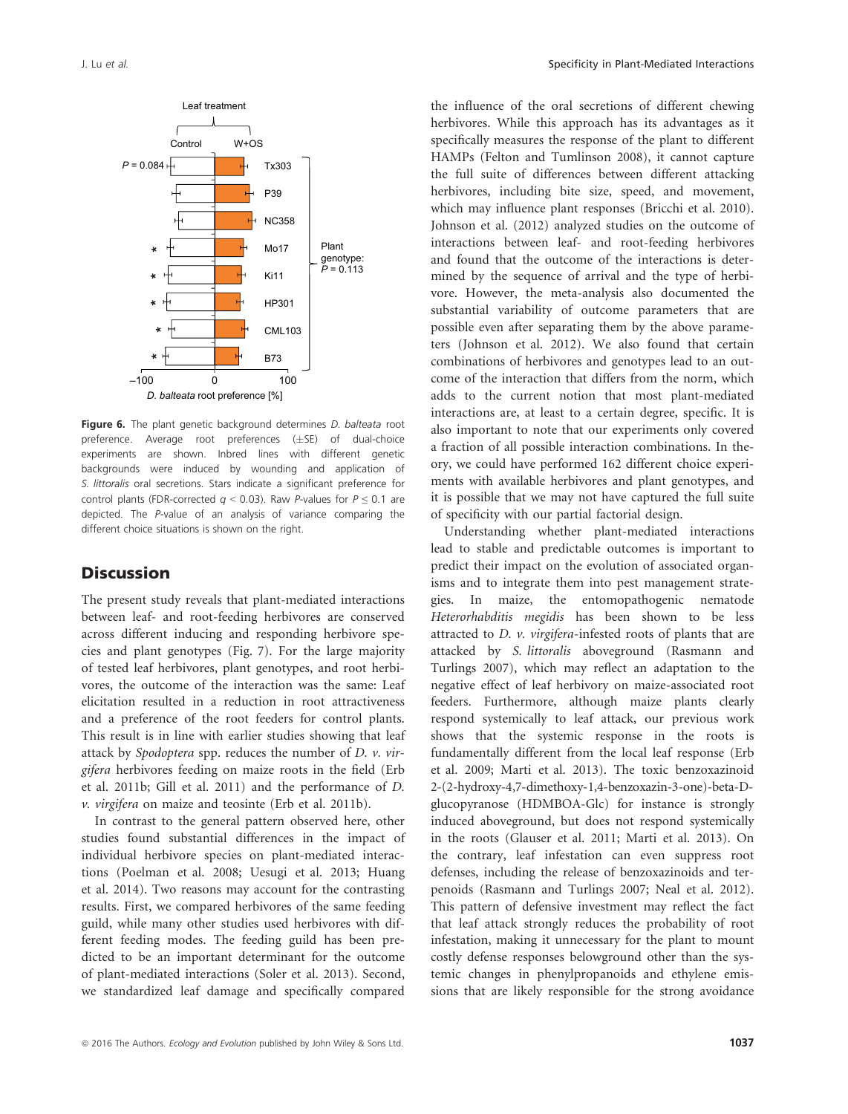

Figure 6. The plant genetic background determines D. balteata root preference. Average root preferences  $(+SE)$  of dual-choice experiments are shown. Inbred lines with different genetic backgrounds were induced by wounding and application of S. littoralis oral secretions. Stars indicate a significant preference for control plants (FDR-corrected  $q < 0.03$ ). Raw P-values for  $P \le 0.1$  are depicted. The P-value of an analysis of variance comparing the different choice situations is shown on the right.

# **Discussion**

The present study reveals that plant-mediated interactions between leaf- and root-feeding herbivores are conserved across different inducing and responding herbivore species and plant genotypes (Fig. 7). For the large majority of tested leaf herbivores, plant genotypes, and root herbivores, the outcome of the interaction was the same: Leaf elicitation resulted in a reduction in root attractiveness and a preference of the root feeders for control plants. This result is in line with earlier studies showing that leaf attack by Spodoptera spp. reduces the number of  $D$ .  $\nu$ .  $vir$ gifera herbivores feeding on maize roots in the field (Erb et al. 2011b; Gill et al. 2011) and the performance of D. v. virgifera on maize and teosinte (Erb et al. 2011b).

In contrast to the general pattern observed here, other studies found substantial differences in the impact of individual herbivore species on plant-mediated interactions (Poelman et al. 2008; Uesugi et al. 2013; Huang et al. 2014). Two reasons may account for the contrasting results. First, we compared herbivores of the same feeding guild, while many other studies used herbivores with different feeding modes. The feeding guild has been predicted to be an important determinant for the outcome of plant-mediated interactions (Soler et al. 2013). Second, we standardized leaf damage and specifically compared the influence of the oral secretions of different chewing herbivores. While this approach has its advantages as it specifically measures the response of the plant to different HAMPs (Felton and Tumlinson 2008), it cannot capture the full suite of differences between different attacking herbivores, including bite size, speed, and movement, which may influence plant responses (Bricchi et al. 2010). Johnson et al. (2012) analyzed studies on the outcome of interactions between leaf- and root-feeding herbivores and found that the outcome of the interactions is determined by the sequence of arrival and the type of herbivore. However, the meta-analysis also documented the substantial variability of outcome parameters that are possible even after separating them by the above parameters (Johnson et al. 2012). We also found that certain combinations of herbivores and genotypes lead to an outcome of the interaction that differs from the norm, which adds to the current notion that most plant-mediated interactions are, at least to a certain degree, specific. It is also important to note that our experiments only covered a fraction of all possible interaction combinations. In theory, we could have performed 162 different choice experiments with available herbivores and plant genotypes, and it is possible that we may not have captured the full suite of specificity with our partial factorial design.

Understanding whether plant-mediated interactions lead to stable and predictable outcomes is important to predict their impact on the evolution of associated organisms and to integrate them into pest management strategies. In maize, the entomopathogenic nematode Heterorhabditis megidis has been shown to be less attracted to D. v. virgifera-infested roots of plants that are attacked by S. littoralis aboveground (Rasmann and Turlings 2007), which may reflect an adaptation to the negative effect of leaf herbivory on maize-associated root feeders. Furthermore, although maize plants clearly respond systemically to leaf attack, our previous work shows that the systemic response in the roots is fundamentally different from the local leaf response (Erb et al. 2009; Marti et al. 2013). The toxic benzoxazinoid 2-(2-hydroxy-4,7-dimethoxy-1,4-benzoxazin-3-one)-beta-Dglucopyranose (HDMBOA-Glc) for instance is strongly induced aboveground, but does not respond systemically in the roots (Glauser et al. 2011; Marti et al. 2013). On the contrary, leaf infestation can even suppress root defenses, including the release of benzoxazinoids and terpenoids (Rasmann and Turlings 2007; Neal et al. 2012). This pattern of defensive investment may reflect the fact that leaf attack strongly reduces the probability of root infestation, making it unnecessary for the plant to mount costly defense responses belowground other than the systemic changes in phenylpropanoids and ethylene emissions that are likely responsible for the strong avoidance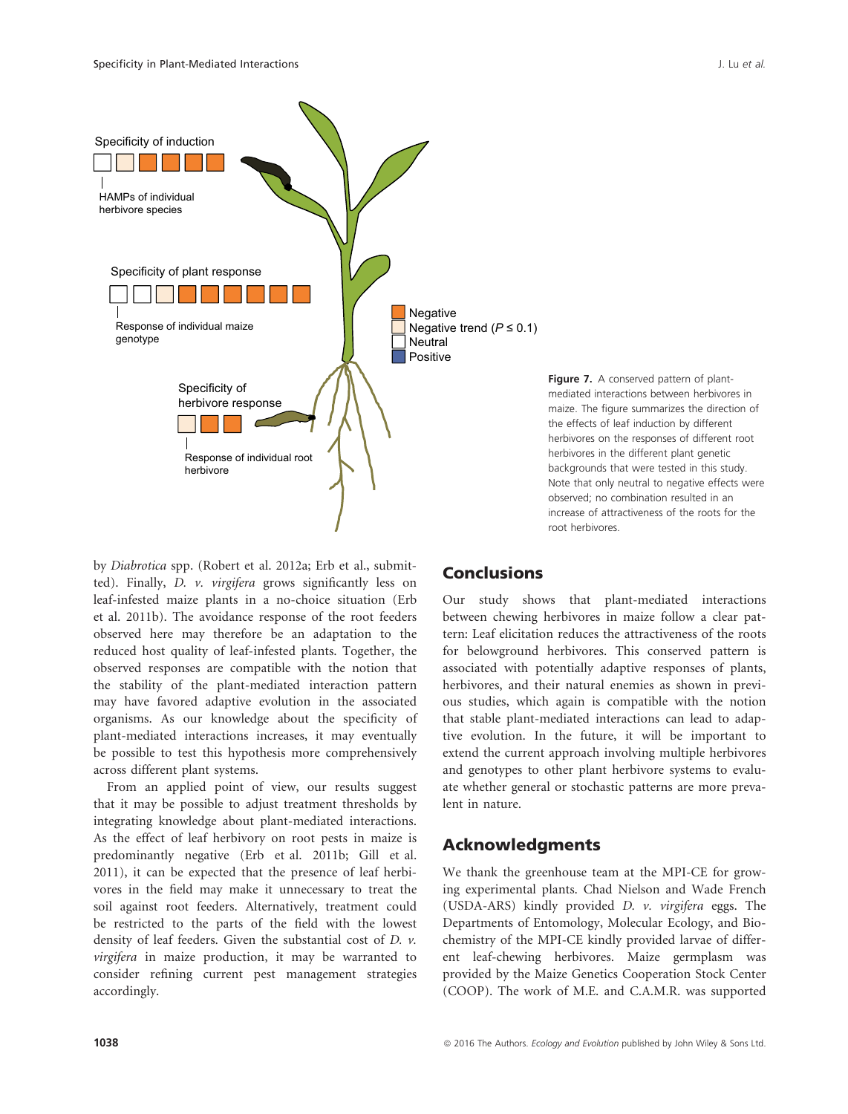

by Diabrotica spp. (Robert et al. 2012a; Erb et al., submitted). Finally, D. v. virgifera grows significantly less on leaf-infested maize plants in a no-choice situation (Erb et al. 2011b). The avoidance response of the root feeders observed here may therefore be an adaptation to the reduced host quality of leaf-infested plants. Together, the observed responses are compatible with the notion that the stability of the plant-mediated interaction pattern may have favored adaptive evolution in the associated organisms. As our knowledge about the specificity of plant-mediated interactions increases, it may eventually be possible to test this hypothesis more comprehensively across different plant systems.

From an applied point of view, our results suggest that it may be possible to adjust treatment thresholds by integrating knowledge about plant-mediated interactions. As the effect of leaf herbivory on root pests in maize is predominantly negative (Erb et al. 2011b; Gill et al. 2011), it can be expected that the presence of leaf herbivores in the field may make it unnecessary to treat the soil against root feeders. Alternatively, treatment could be restricted to the parts of the field with the lowest density of leaf feeders. Given the substantial cost of D. v. virgifera in maize production, it may be warranted to consider refining current pest management strategies accordingly.

#### Figure 7. A conserved pattern of plantmediated interactions between herbivores in maize. The figure summarizes the direction of the effects of leaf induction by different herbivores on the responses of different root herbivores in the different plant genetic backgrounds that were tested in this study. Note that only neutral to negative effects were observed; no combination resulted in an increase of attractiveness of the roots for the root herbivores.

# Conclusions

Our study shows that plant-mediated interactions between chewing herbivores in maize follow a clear pattern: Leaf elicitation reduces the attractiveness of the roots for belowground herbivores. This conserved pattern is associated with potentially adaptive responses of plants, herbivores, and their natural enemies as shown in previous studies, which again is compatible with the notion that stable plant-mediated interactions can lead to adaptive evolution. In the future, it will be important to extend the current approach involving multiple herbivores and genotypes to other plant herbivore systems to evaluate whether general or stochastic patterns are more prevalent in nature.

# Acknowledgments

We thank the greenhouse team at the MPI-CE for growing experimental plants. Chad Nielson and Wade French (USDA-ARS) kindly provided D. v. virgifera eggs. The Departments of Entomology, Molecular Ecology, and Biochemistry of the MPI-CE kindly provided larvae of different leaf-chewing herbivores. Maize germplasm was provided by the Maize Genetics Cooperation Stock Center (COOP). The work of M.E. and C.A.M.R. was supported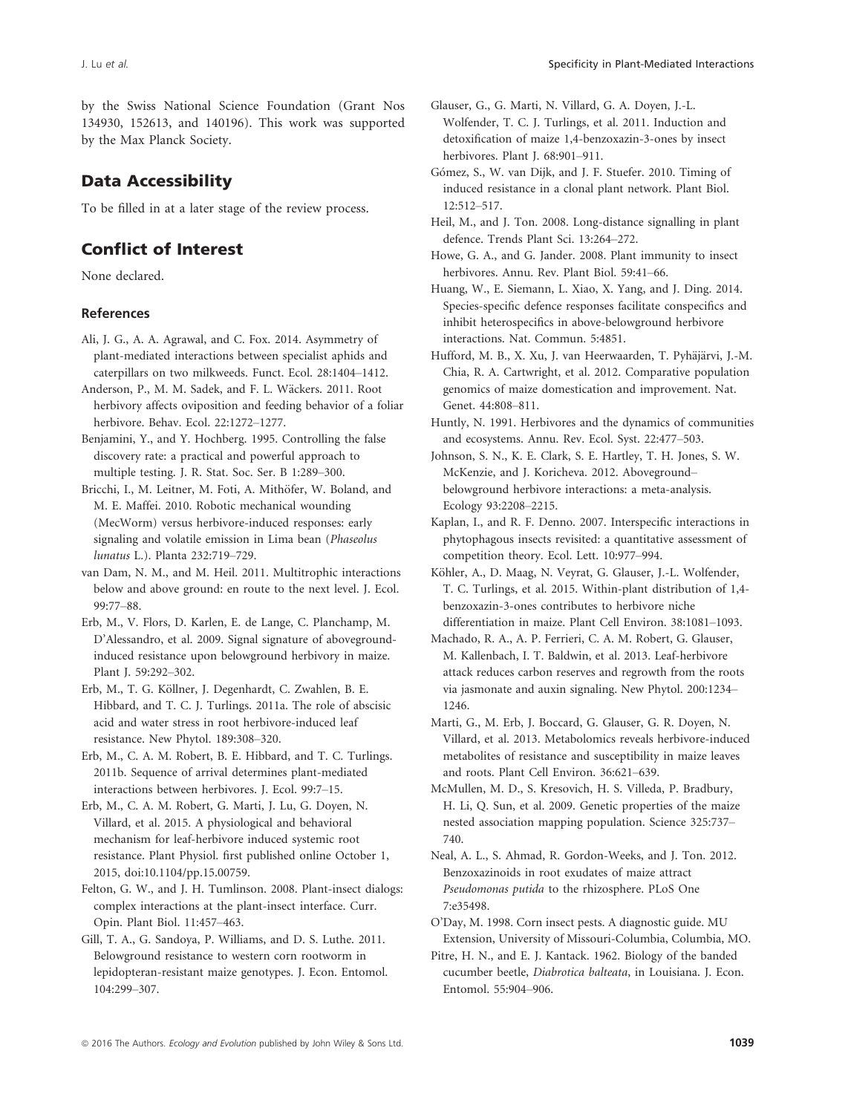by the Swiss National Science Foundation (Grant Nos 134930, 152613, and 140196). This work was supported by the Max Planck Society.

# Data Accessibility

To be filled in at a later stage of the review process.

# Conflict of Interest

None declared.

### References

- Ali, J. G., A. A. Agrawal, and C. Fox. 2014. Asymmetry of plant-mediated interactions between specialist aphids and caterpillars on two milkweeds. Funct. Ecol. 28:1404–1412.
- Anderson, P., M. M. Sadek, and F. L. Wäckers. 2011. Root herbivory affects oviposition and feeding behavior of a foliar herbivore. Behav. Ecol. 22:1272–1277.
- Benjamini, Y., and Y. Hochberg. 1995. Controlling the false discovery rate: a practical and powerful approach to multiple testing. J. R. Stat. Soc. Ser. B 1:289–300.
- Bricchi, I., M. Leitner, M. Foti, A. Mithöfer, W. Boland, and M. E. Maffei. 2010. Robotic mechanical wounding (MecWorm) versus herbivore-induced responses: early signaling and volatile emission in Lima bean (Phaseolus lunatus L.). Planta 232:719–729.
- van Dam, N. M., and M. Heil. 2011. Multitrophic interactions below and above ground: en route to the next level. J. Ecol. 99:77–88.
- Erb, M., V. Flors, D. Karlen, E. de Lange, C. Planchamp, M. D'Alessandro, et al. 2009. Signal signature of abovegroundinduced resistance upon belowground herbivory in maize. Plant J. 59:292–302.
- Erb, M., T. G. Köllner, J. Degenhardt, C. Zwahlen, B. E. Hibbard, and T. C. J. Turlings. 2011a. The role of abscisic acid and water stress in root herbivore-induced leaf resistance. New Phytol. 189:308–320.
- Erb, M., C. A. M. Robert, B. E. Hibbard, and T. C. Turlings. 2011b. Sequence of arrival determines plant-mediated interactions between herbivores. J. Ecol. 99:7–15.
- Erb, M., C. A. M. Robert, G. Marti, J. Lu, G. Doyen, N. Villard, et al. 2015. A physiological and behavioral mechanism for leaf-herbivore induced systemic root resistance. Plant Physiol. first published online October 1, 2015, doi[:10.1104/pp.15.00759.](info:doi/10.1104/pp.15.00759)
- Felton, G. W., and J. H. Tumlinson. 2008. Plant-insect dialogs: complex interactions at the plant-insect interface. Curr. Opin. Plant Biol. 11:457–463.
- Gill, T. A., G. Sandoya, P. Williams, and D. S. Luthe. 2011. Belowground resistance to western corn rootworm in lepidopteran-resistant maize genotypes. J. Econ. Entomol. 104:299–307.
- Glauser, G., G. Marti, N. Villard, G. A. Doyen, J.-L. Wolfender, T. C. J. Turlings, et al. 2011. Induction and detoxification of maize 1,4-benzoxazin-3-ones by insect herbivores. Plant J. 68:901–911.
- Gómez, S., W. van Dijk, and J. F. Stuefer. 2010. Timing of induced resistance in a clonal plant network. Plant Biol. 12:512–517.
- Heil, M., and J. Ton. 2008. Long-distance signalling in plant defence. Trends Plant Sci. 13:264–272.
- Howe, G. A., and G. Jander. 2008. Plant immunity to insect herbivores. Annu. Rev. Plant Biol. 59:41–66.
- Huang, W., E. Siemann, L. Xiao, X. Yang, and J. Ding. 2014. Species-specific defence responses facilitate conspecifics and inhibit heterospecifics in above-belowground herbivore interactions. Nat. Commun. 5:4851.
- Hufford, M. B., X. Xu, J. van Heerwaarden, T. Pyhäjärvi, J.-M. Chia, R. A. Cartwright, et al. 2012. Comparative population genomics of maize domestication and improvement. Nat. Genet. 44:808–811.
- Huntly, N. 1991. Herbivores and the dynamics of communities and ecosystems. Annu. Rev. Ecol. Syst. 22:477–503.
- Johnson, S. N., K. E. Clark, S. E. Hartley, T. H. Jones, S. W. McKenzie, and J. Koricheva. 2012. Aboveground– belowground herbivore interactions: a meta-analysis. Ecology 93:2208–2215.
- Kaplan, I., and R. F. Denno. 2007. Interspecific interactions in phytophagous insects revisited: a quantitative assessment of competition theory. Ecol. Lett. 10:977–994.
- Köhler, A., D. Maag, N. Veyrat, G. Glauser, J.-L. Wolfender, T. C. Turlings, et al. 2015. Within-plant distribution of 1,4 benzoxazin-3-ones contributes to herbivore niche differentiation in maize. Plant Cell Environ. 38:1081–1093.
- Machado, R. A., A. P. Ferrieri, C. A. M. Robert, G. Glauser, M. Kallenbach, I. T. Baldwin, et al. 2013. Leaf-herbivore attack reduces carbon reserves and regrowth from the roots via jasmonate and auxin signaling. New Phytol. 200:1234– 1246.
- Marti, G., M. Erb, J. Boccard, G. Glauser, G. R. Doyen, N. Villard, et al. 2013. Metabolomics reveals herbivore-induced metabolites of resistance and susceptibility in maize leaves and roots. Plant Cell Environ. 36:621–639.
- McMullen, M. D., S. Kresovich, H. S. Villeda, P. Bradbury, H. Li, Q. Sun, et al. 2009. Genetic properties of the maize nested association mapping population. Science 325:737– 740.
- Neal, A. L., S. Ahmad, R. Gordon-Weeks, and J. Ton. 2012. Benzoxazinoids in root exudates of maize attract Pseudomonas putida to the rhizosphere. PLoS One 7:e35498.
- O'Day, M. 1998. Corn insect pests. A diagnostic guide. MU Extension, University of Missouri-Columbia, Columbia, MO.
- Pitre, H. N., and E. J. Kantack. 1962. Biology of the banded cucumber beetle, Diabrotica balteata, in Louisiana. J. Econ. Entomol. 55:904–906.